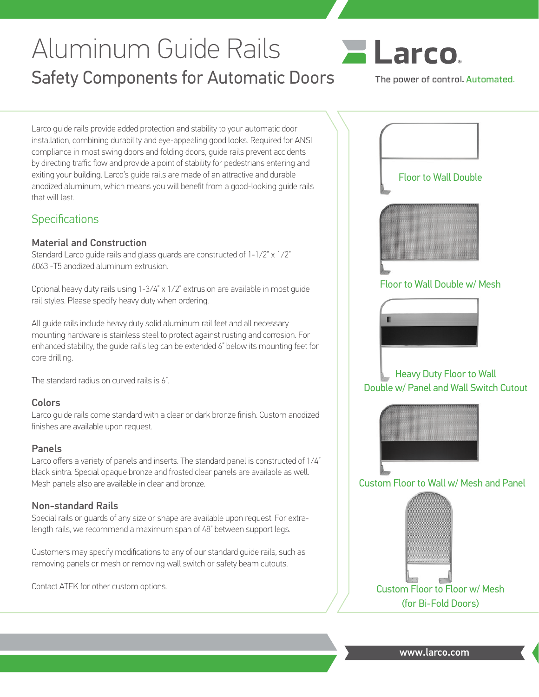# Aluminum Guide Rails Safety Components for Automatic Doors



The power of control. Automated.

Larco guide rails provide added protection and stability to your automatic door installation, combining durability and eye-appealing good looks. Required for ANSI compliance in most swing doors and folding doors, guide rails prevent accidents by directing traffic flow and provide a point of stability for pedestrians entering and exiting your building. Larco's guide rails are made of an attractive and durable anodized aluminum, which means you will benefit from a good-looking guide rails that will last.

## **Specifications**

#### Material and Construction

Standard Larco guide rails and glass guards are constructed of 1-1/2" x 1/2" 6063 -T5 anodized aluminum extrusion.

Optional heavy duty rails using 1-3/4" x 1/2" extrusion are available in most guide rail styles. Please specify heavy duty when ordering.

All guide rails include heavy duty solid aluminum rail feet and all necessary mounting hardware is stainless steel to protect against rusting and corrosion. For enhanced stability, the guide rail's leg can be extended 6" below its mounting feet for core drilling.

The standard radius on curved rails is 6".

#### Colors

Larco guide rails come standard with a clear or dark bronze finish. Custom anodized finishes are available upon request.

#### Panels

Larco offers a variety of panels and inserts. The standard panel is constructed of 1/4" black sintra. Special opaque bronze and frosted clear panels are available as well. Mesh panels also are available in clear and bronze.

#### Non-standard Rails

Special rails or guards of any size or shape are available upon request. For extralength rails, we recommend a maximum span of 48" between support legs.

Customers may specify modifications to any of our standard guide rails, such as removing panels or mesh or removing wall switch or safety beam cutouts.

Contact ATEK for other custom options.



www.larco.com